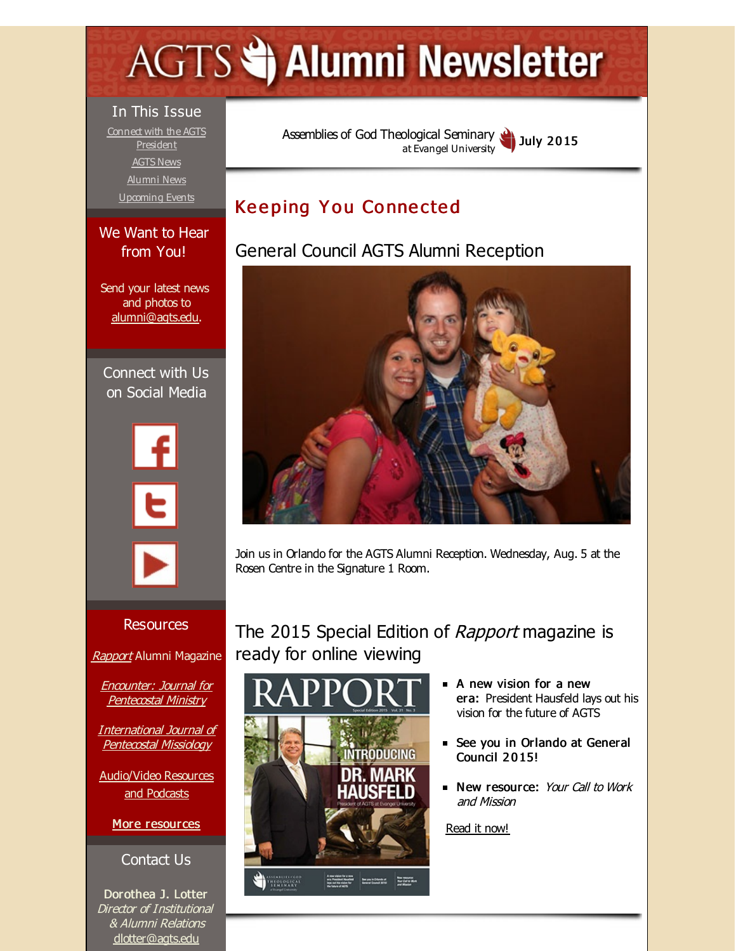# <span id="page-0-0"></span>**AGTS Statement Newsletter**

#### In This Issue

Connect with the AGTS **[President](#page-0-0)** [AGTS](#page-0-0) News [Alumni](#page-0-0) News [Upcoming](#page-0-0) Events

### We Want to Hear from You!

Send your latest news and photos to [alumni@agts.edu](mailto:alumni@agts.edu).

Connect with Us on Social Media





#### Resources

[Rapport](http://r20.rs6.net/tn.jsp?f=00187fNrLeIYgSFEBT15lfJ6tyii929H33MGe9Wa3YTBBsnUPTNe_Yf7utXOAbfBviDgj1LA2eaHzEkFUnkyxX4BUmDHU1DaFkYvVPL1YI5XNWwtHP3lFOz8TAMZxJ74ZfB9WzfglGqimWLAq4npmfqR9UU2T0zPWxxWyG-ckiN6WRXPCbTFihX2lljOOnhltiV&c=&ch=) Alumni Magazine

Encounter: Journal for [Pentecostal](http://r20.rs6.net/tn.jsp?f=00187fNrLeIYgSFEBT15lfJ6tyii929H33MGe9Wa3YTBBsnUPTNe_Yf7jIciVY6iFjpq-3fbhMJtZYqwdfa1Xz62ftXtiTJadGuLV8mE4C4FiIEwoBnsKaU-7VQbQqBMdp6JZ43g4EMVcUV3UenEJw6tjK0PSrxIf5oGwil2a5JvkeXSwUw-cA8_dwmjkWJYpF4&c=&ch=) Ministry

[International](http://r20.rs6.net/tn.jsp?f=00187fNrLeIYgSFEBT15lfJ6tyii929H33MGe9Wa3YTBBsnUPTNe_Yf7lCXc_6kN-xe2U9_VQNOwzaUfkjm8Cmot3fe33ixK8lGbMO1-z1y2zyOdfGywacOal0UlmF8YAgtKuFPDyTkTI1qI6F1lBqIEwCABJg4Pu29lUWSdEwyA2NtBLJL9NddpnJIZFvNZbMA&c=&ch=) Journal of Pentecostal Missiology

[Audio/Video](http://r20.rs6.net/tn.jsp?f=00187fNrLeIYgSFEBT15lfJ6tyii929H33MGe9Wa3YTBBsnUPTNe_Yf7lITa858ogQRRKY7oSXYWX4OxWQON8FvK2ksT2XsNkci5W8fS9PCAs5qrv3h386IRNb9wn3tCCoABGRdjjKgdTAMQpO4dGzRZSoJs5YMxjwA2nsDve1j30QFWeRpRTxDwADaiRwDNKcG&c=&ch=) Resources and Podcasts

More [resources](http://r20.rs6.net/tn.jsp?f=00187fNrLeIYgSFEBT15lfJ6tyii929H33MGe9Wa3YTBBsnUPTNe_Yf7o7mdkk3jG3saIKbLSE7iyiTISA7pkdKRHdoL1Q8F5X90BEyFKbcwOj2houTm1giARKZVstOqpJBc2MjtKj_9S8ue1m2AWfiEi-gWcs7pntseQx_ZdudHC0Afy1oKylWkvcEMBhVTVRKn2-25v0bUpU=&c=&ch=)

Contact Us

Dorothea J. Lotter Director of Institutional & Alumni Relations [dlotter@agts.edu](mailto:dlotter@agts.edu)

Assemblies of God [Theological](http://r20.rs6.net/tn.jsp?f=00187fNrLeIYgSFEBT15lfJ6tyii929H33MGe9Wa3YTBBsnUPTNe_Yf7qguo1TfP2TQqY3_E5OU2r-xDEcm6GF3GZk_UxQB0Fn3CV6AmMCCVmbaFyAh3yoZFNgtvM9ohc3qx8nW5b5Ul_erJ64G2L5PoCqfi3u9nRpK&c=&ch=) Seminary at Evangel University July 2015

# **Keeping You Connected**

# General Council AGTS Alumni Reception



Join us in Orlando for the AGTS Alumni Reception. Wednesday, Aug. 5 at the Rosen Centre in the Signature 1 Room.

The 2015 Special Edition of Rapport magazine is ready for online viewing



- **A** new vision for a new era: President Hausfeld lays out his vision for the future of AGTS
- See you in Orlando at General Council 2015!
- New resource: Your Call to Work and Mission

[Read](http://r20.rs6.net/tn.jsp?f=00187fNrLeIYgSFEBT15lfJ6tyii929H33MGe9Wa3YTBBsnUPTNe_Yf7utXOAbfBviDgj1LA2eaHzEkFUnkyxX4BUmDHU1DaFkYvVPL1YI5XNWwtHP3lFOz8TAMZxJ74ZfB9WzfglGqimWLAq4npmfqR9UU2T0zPWxxWyG-ckiN6WRXPCbTFihX2lljOOnhltiV&c=&ch=) it now!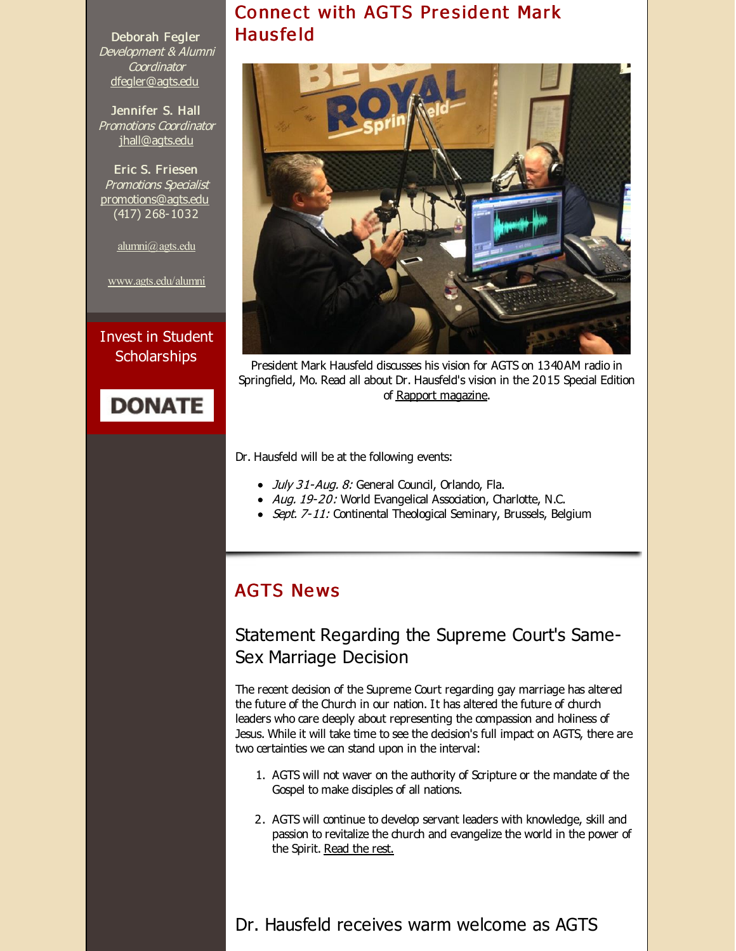Connect with AGTS President Mark Haus fe ld



President Mark Hausfeld discusses his vision for AGTS on 1340AM radio in Springfield, Mo. Read all about Dr. Hausfeld's vision in the 2015 Special Edition of Rapport [magazine](http://r20.rs6.net/tn.jsp?f=00187fNrLeIYgSFEBT15lfJ6tyii929H33MGe9Wa3YTBBsnUPTNe_Yf7utXOAbfBviDgj1LA2eaHzEkFUnkyxX4BUmDHU1DaFkYvVPL1YI5XNWwtHP3lFOz8TAMZxJ74ZfB9WzfglGqimWLAq4npmfqR9UU2T0zPWxxWyG-ckiN6WRXPCbTFihX2lljOOnhltiV&c=&ch=).

Dr. Hausfeld will be at the following events:

- July 31-Aug. 8: General Council, Orlando, Fla.
- Aug. 19-20: World Evangelical Association, Charlotte, N.C.
- Sept. 7-11: Continental Theological Seminary, Brussels, Belgium

## **AGTS News**

## Statement Regarding the Supreme Court's Same-Sex Marriage Decision

The recent decision of the Supreme Court regarding gay marriage has altered the future of the Church in our nation. It has altered the future of church leaders who care deeply about representing the compassion and holiness of Jesus. While it will take time to see the decision's full impact on AGTS, there are two certainties we can stand upon in the interval:

- 1. AGTS will not waver on the authority of Scripture or the mandate of the Gospel to make disciples of all nations.
- 2. AGTS will continue to develop servant leaders with knowledge, skill and passion to revitalize the church and evangelize the world in the power of the Spirit. [Read](http://r20.rs6.net/tn.jsp?f=00187fNrLeIYgSFEBT15lfJ6tyii929H33MGe9Wa3YTBBsnUPTNe_Yf7rgiGwGBvdDYHWJE-txVWTYenqSXpANESvg-sXzdN_sKkfzs1u4RF2vFfOVQZTPziRBXdUqOqWBiwhiZxIVfpq_AXsNTGZKYWxaeN6wQ66N-WUgYhpqcZLK38P0YS29yQP_qwLwyowco2kG6Q_eAZvdCT04z3q5dp8taEPNHc7WJKXg_NuLoZBD8Unre7Fyq8g==&c=&ch=) the rest.

Dr. Hausfeld receives warm welcome as AGTS

Deborah Fegler Development & Alumni **Coordinator** [dfegler@agts.edu](mailto:dfegler@agts.edu)

Jennifer S. Hall Promotions Coordinator [jhall@agts.edu](mailto:jhall@agts.edu)

Eric S. Friesen Promotions Specialist [promotions@agts.edu](mailto:promotions@agts.edu) (417) 268-1032

[alumni@agts.edu](mailto:alumni@agts.edu)

[www.agts.edu/alumni](http://r20.rs6.net/tn.jsp?f=00187fNrLeIYgSFEBT15lfJ6tyii929H33MGe9Wa3YTBBsnUPTNe_Yf7mHNpB-aZMz_1L_mGEwbj5LI3_z23j-mlcJwjshna_WcJcKzOYBg68_QVRTsOVuj0W6kCwvpVpM0g_Uw3gzgdiU-Slawji6n-lt84Gtd0_UgKTojp8mHxhLfJqGfq3SKhQ==&c=&ch=)

Invest in Student **Scholarships** 

# **DONATE**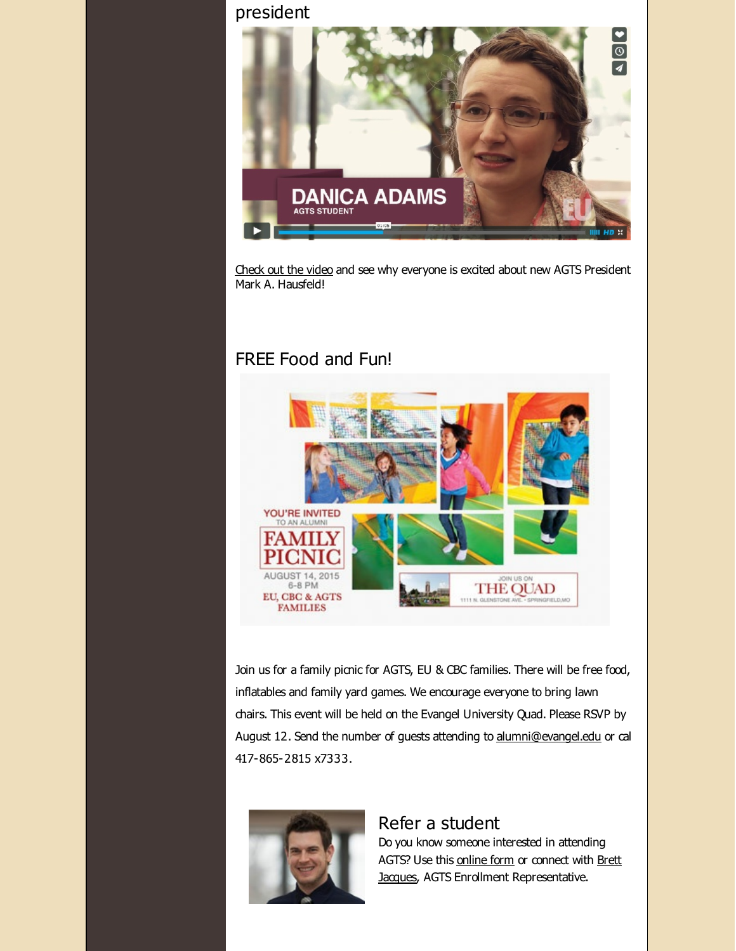## president



[Check](http://r20.rs6.net/tn.jsp?f=00187fNrLeIYgSFEBT15lfJ6tyii929H33MGe9Wa3YTBBsnUPTNe_Yf7nxa_rbg3dq9xaMo0pLvC4NQI-Rcunkm2s7GjpTh7WQTho-xmpLkrpyz5bncct1Rgoe5LR4aHeVAuTBdbCiUVaIcuxTKfjnzG--uWkAEkFRJfmB1UH2KQGQqlwXNO6wH-Q==&c=&ch=) out the video and see why everyone is excited about new AGTS President Mark A. Hausfeld!

## FREE Food and Fun!



Join us for a family picnic for AGTS, EU & CBC families. There will be free food, inflatables and family yard games. We encourage everyone to bring lawn chairs. This event will be held on the Evangel University Quad. Please RSVP by August 12. Send the number of guests attending to [alumni@evangel.edu](mailto:alumni@evangel.edu) or cal 417-865-2815 x7333.



#### Refer a student

Do you know someone interested in attending AGTS? Use this [online](http://r20.rs6.net/tn.jsp?f=00187fNrLeIYgSFEBT15lfJ6tyii929H33MGe9Wa3YTBBsnUPTNe_Yf7s5TjAG-fESFh4bf-pqFoA9Ci3aGpoElzujcb1gNcT2w6hX86SvjZ-ulOTl7SLq-eymh0MSMekqSPFBpBsK_kjoO3gWFQSDJO2WmbFGamk09T7xfDY1LzfnHKubd74UmxEcRXDYoAEjB&c=&ch=) form or connect with Brett Jacques, AGTS Enrollment [Representative.](mailto:jacquesb@evangel.edu)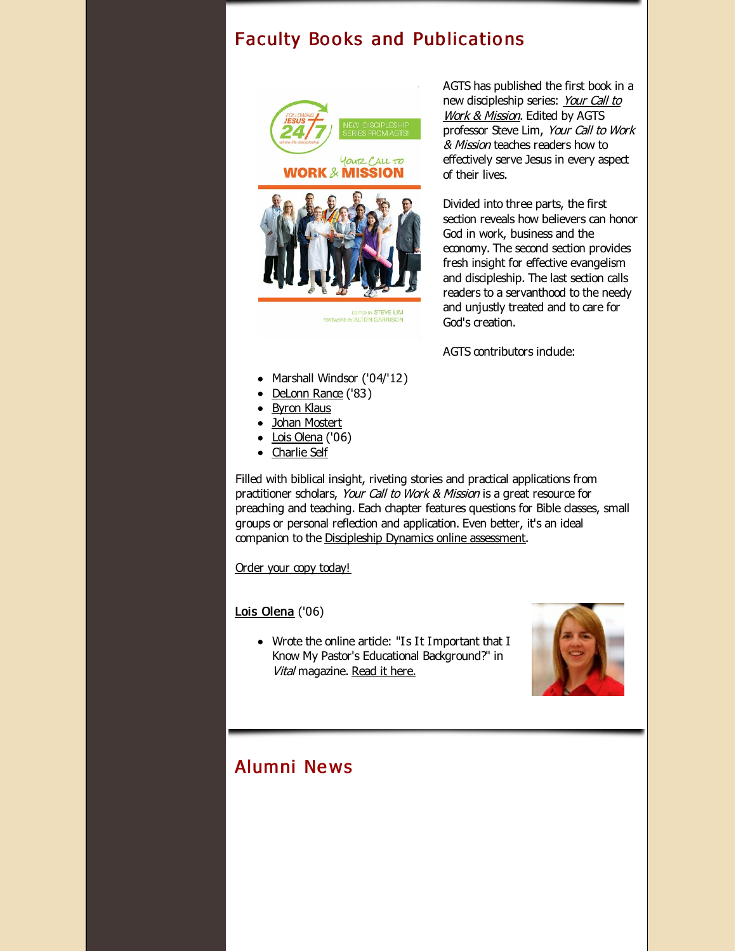## Faculty Books and Publications





BY STEVE LIM ALTON GAR

AGTS has published the first book in a new [discipleship](http://r20.rs6.net/tn.jsp?f=00187fNrLeIYgSFEBT15lfJ6tyii929H33MGe9Wa3YTBBsnUPTNe_Yf7vkP-fLAk8JpaDYi1nj-DUoDfIfqs73af1kysesSRnTsnJO-dn8tJD4orrMujVF9aqGuePDru3uCotxFs9y4nwnsgROimxEqLgWO2h3plAdZ-CASjYbh_M2gJNjdeF3ivZkPua1OkrjU&c=&ch=) series: Your Call to Work & Mission. Edited by AGTS professor Steve Lim, Your Call to Work & Mission teaches readers how to effectively serve Jesus in every aspect of their lives.

Divided into three parts, the first section reveals how believers can honor God in work, business and the economy. The second section provides fresh insight for effective evangelism and discipleship. The last section calls readers to a servanthood to the needy and unjustly treated and to care for God's creation.

AGTS contributors indude:

- Marshall Windsor ('04/'12)
- [DeLonn](http://r20.rs6.net/tn.jsp?f=00187fNrLeIYgSFEBT15lfJ6tyii929H33MGe9Wa3YTBBsnUPTNe_Yf7pXibTKg8j-KBcNsLTm2ysrOOUHYLFN8bdKy4wagh0yeJrC-qfqphgg9Nv7BRkkaxUbp0xt2WOBSCJhzNuKUDVRQn3SGaQolwkTVAlmsj2KJejrdfXaCJ8HNgGYwCUEKnjUhEUU67eDh&c=&ch=) Rance ('83)
- [Byron](http://r20.rs6.net/tn.jsp?f=00187fNrLeIYgSFEBT15lfJ6tyii929H33MGe9Wa3YTBBsnUPTNe_Yf7jtzPLotlUDY1BbomRYjRIb9xA_uWdzaOhGcTE8BMtCxDI7ouOkcEx6Vts9vHOjhmlJBnKuGQcEsYdjv9ZZ5sdRSecizOXUky0eEzjygWeV_fwBigyKLJ3jfciSB8PSN-JILXoJXFFuR&c=&ch=) Klaus
- Johan [Mostert](http://r20.rs6.net/tn.jsp?f=00187fNrLeIYgSFEBT15lfJ6tyii929H33MGe9Wa3YTBBsnUPTNe_Yf7oWEK-VCPw73-bR9-qljk3-74FzHsesk38Na7ETYNzwv4Y-RhhndyKdfCugjhOsiNstn8TsFcruKov2-mAK5M6OiH3o18RpWK266-p_59zDSVbQm6wH8knujSAnAo8-5dLtdueszRhpysy1gBaebAfw=&c=&ch=)
- $\bullet$  Lois [Olena](http://r20.rs6.net/tn.jsp?f=00187fNrLeIYgSFEBT15lfJ6tyii929H33MGe9Wa3YTBBsnUPTNe_Yf7oWEK-VCPw73DaaAmqnb36D3oy55gAzzWBmj1p8zAZaxtz8u9Sg64UaP7sBQ-qK24lVJUBReObul--9FtrMRIWY7SRnmph5W_q5oIDiB4kUXPkP9EeC4pq6XY2VCHAU3SGtdjrkLYnKz&c=&ch=) ('06)
- [Charlie](http://r20.rs6.net/tn.jsp?f=00187fNrLeIYgSFEBT15lfJ6tyii929H33MGe9Wa3YTBBsnUPTNe_Yf7nbjUuzvOLxX97KUa0_miTjT5zqxSiZtbg7R0IcbIbsGsShAJNrb7QakzQsUuFLLuzzta_xeRGla2nTt3lwzdxu_wRN2zl_iwG9DTZJahHhMLDwvEjoTyjMEaGrVPi0xC9KVL0I4GHg9&c=&ch=) Self

Filled with biblical insight, riveting stories and practical applications from practitioner scholars, Your Call to Work & Mission is a great resource for preaching and teaching. Each chapter features questions for Bible dasses, small groups or personal reflection and application. Even better, it's an ideal companion to the [Discipleship](http://r20.rs6.net/tn.jsp?f=00187fNrLeIYgSFEBT15lfJ6tyii929H33MGe9Wa3YTBBsnUPTNe_Yf7rgiGwGBvdDYaDIg4RlyoEfon2AcXj05xrKzQYuklTGAL-YSu1J5wo0f7TlyZUbE3rHa9hTtkCYR6a8_Bsj04y49CMAD_R9eDbHsDv1d2yuSbeLsyXDiTdTEsd24732pBA==&c=&ch=) Dynamics online assessment.

Order your copy [today!](http://r20.rs6.net/tn.jsp?f=00187fNrLeIYgSFEBT15lfJ6tyii929H33MGe9Wa3YTBBsnUPTNe_Yf7vkP-fLAk8JpaDYi1nj-DUoDfIfqs73af1kysesSRnTsnJO-dn8tJD4orrMujVF9aqGuePDru3uCotxFs9y4nwnsgROimxEqLgWO2h3plAdZ-CASjYbh_M2gJNjdeF3ivZkPua1OkrjU&c=&ch=)

Lois [Olena](http://r20.rs6.net/tn.jsp?f=00187fNrLeIYgSFEBT15lfJ6tyii929H33MGe9Wa3YTBBsnUPTNe_Yf7oWEK-VCPw73DaaAmqnb36D3oy55gAzzWBmj1p8zAZaxtz8u9Sg64UaP7sBQ-qK24lVJUBReObul--9FtrMRIWY7SRnmph5W_q5oIDiB4kUXPkP9EeC4pq6XY2VCHAU3SGtdjrkLYnKz&c=&ch=) ('06)

• Wrote the online artide: "Is It Important that I Know My Pastor's Educational Background?" in Vital magazine. [Read](http://r20.rs6.net/tn.jsp?f=00187fNrLeIYgSFEBT15lfJ6tyii929H33MGe9Wa3YTBBsnUPTNe_Yf7rgiGwGBvdDYmcwTxRsanGbO0Xze79yKcpjC6WNUXaZRkI-lDGrjhA3cvxbPH3j4tWH-yLeXuDPZ7VUFDS9iKv1-a4OlHCJroPFG_c0Xbj6Kn3akg5t_6QD0qOEaVH_gPCR49gcU7SSE59vvpH0Ej22kl0ZYI0PLQzU3zg9pYEe4DkpH_kQKW0xAnPmvisnWn2SnbJlLl07rHRLC0MUD87yKevedd40PvmRRbnzaMiw-&c=&ch=) it here.



# Alumni Ne ws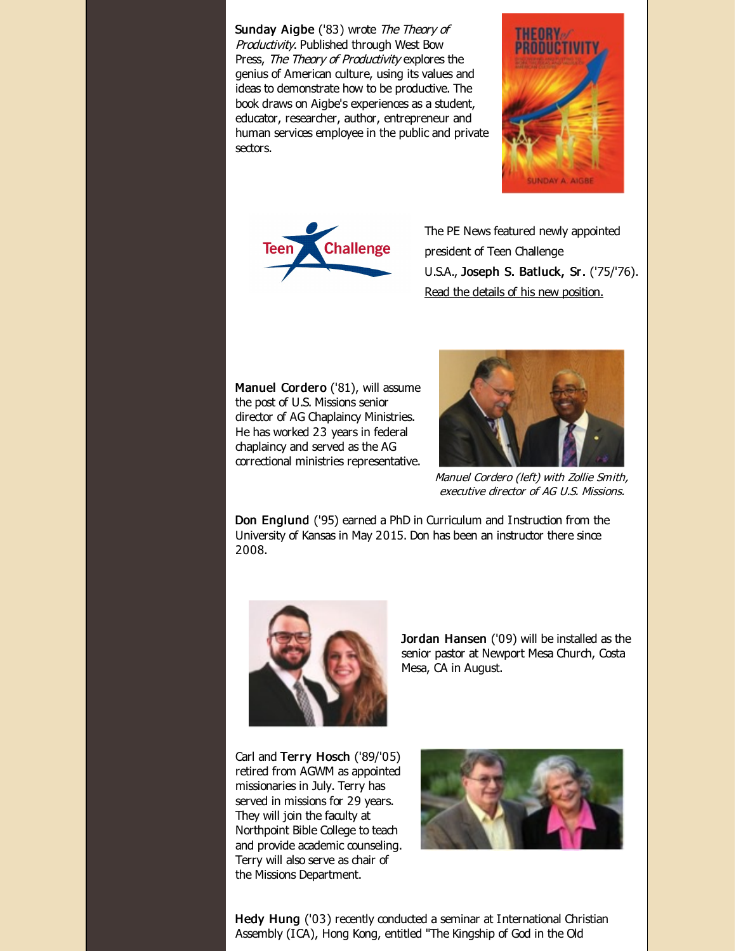Sunday Aigbe ('83) wrote The Theory of Productivity. Published through West Bow Press, The Theory of Productivity explores the genius of American culture, using its values and ideas to demonstrate how to be productive. The book draws on Aigbe's experiences as a student, educator, researcher, author, entrepreneur and human services employee in the public and private sectors.





The PE News featured newly appointed president of Teen Challenge U.S.A., Joseph S. Batluck, Sr. ('75/'76). Read the details of his new [position.](http://r20.rs6.net/tn.jsp?f=00187fNrLeIYgSFEBT15lfJ6tyii929H33MGe9Wa3YTBBsnUPTNe_Yf7rgiGwGBvdDYJ8QAEBEtCQFez2DD-IrhkpCl2PDAlZfjc929XCZkgg627kOSPbpmqtZ8VJlDExBg7ofU1Emt8QN5S9M6DRRiqXp9uRLG2fQI_Xea0J6j0etjbx86rppAD61yhs_YP5GKbppfnEVz3OsUxIucWVLfmw==&c=&ch=)

Manuel Cordero ('81), will assume the post of U.S. Missions senior director of AG Chaplaincy Ministries. He has worked 23 years in federal chaplaincy and served as the AG correctional ministries representative.



Manuel Cordero (left) with Zollie Smith, executive director of AG U.S. Missions.

Don Englund ('95) earned a PhD in Curriculum and Instruction from the University of Kansas in May 2015. Don has been an instructor there since 2008.



Jordan Hansen ('09) will be installed as the senior pastor at Newport Mesa Church, Costa Mesa, CA in August.

Carl and Terry Hosch ('89/'05) retired from AGWM as appointed missionaries in July. Terry has served in missions for 29 years. They will join the faculty at Northpoint Bible College to teach and provide academic counseling. Terry will also serve as chair of the Missions Department.



Hedy Hung ('03) recently conducted a seminar at International Christian Assembly (ICA), Hong Kong, entitled "The Kingship of God in the Old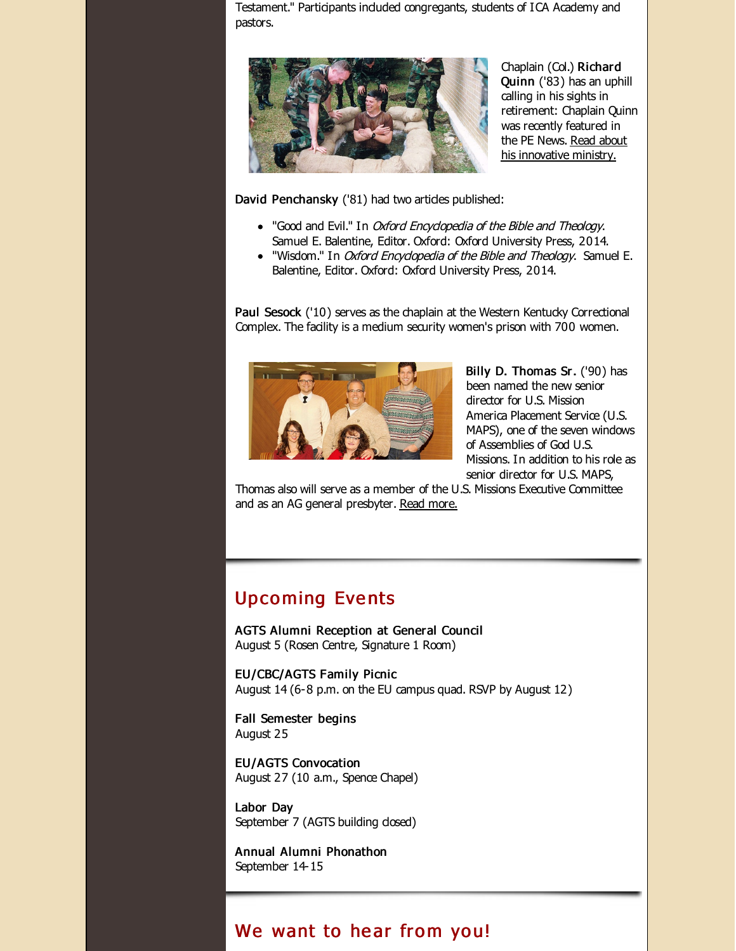Testament." Participants included congregants, students of ICA Academy and pastors.



Chaplain (Col.) Richard Quinn ('83) has an uphill calling in his sights in retirement: Chaplain Quinn was recently featured in the PE News. Read about his [innovative](http://r20.rs6.net/tn.jsp?f=00187fNrLeIYgSFEBT15lfJ6tyii929H33MGe9Wa3YTBBsnUPTNe_Yf7rgiGwGBvdDYudeOZLVV5xgptkcRB3Y2VVLCVYDIFX4Ww4ndH1rezyfoY9GQcUE_O3f_lhlHvRnG45X8v2ItK5jzPqvfVmBKxgL1f093nlFK1APAXDBhBAKGmtCZoIk8e0HZZWMf2WReyoqLRWFeNXo=&c=&ch=) ministry.

David Penchansky ('81) had two artides published:

- "Good and Evil." In *Oxford Encyclopedia of the Bible and Theology*. Samuel E. Balentine, Editor. Oxford: Oxford University Press, 2014.
- . "Wisdom." In *Oxford Encyclopedia of the Bible and Theology*. Samuel E. Balentine, Editor. Oxford: Oxford University Press, 2014.

Paul Sesock ('10) serves as the chaplain at the Western Kentucky Correctional Complex. The facility is a medium security women's prison with 700 women.



Billy D. Thomas Sr. ('90) has been named the new senior director for U.S. Mission America Placement Service (U.S. MAPS), one of the seven windows of Assemblies of God U.S. Missions. In addition to his role as senior director for U.S. MAPS,

Thomas also will serve as a member of the U.S. Missions Executive Committee and as an AG general presbyter. Read [more.](http://r20.rs6.net/tn.jsp?f=00187fNrLeIYgSFEBT15lfJ6tyii929H33MGe9Wa3YTBBsnUPTNe_Yf7rgiGwGBvdDYeKf_MJZs4XEjgfVPfGlhv-Po-WR54w_5jnJ-xOCikIAESaiAo1LiYTxjY60jvPFFMk9BniW0A4Bi-UnTtvP6ABlM5ZJsJ7YI6k-q3dn3F1tKXcmwPMT7JAgvrwPTcOigxppKFWLv0HqFXsmXXqzbog==&c=&ch=)

## **Upcoming Events**

AGTS Alumni Reception at General Council August 5 (Rosen Centre, Signature 1 Room)

EU/CBC/AGTS Family Picnic August 14 (6-8 p.m. on the EU campus quad. RSVP by August 12)

Fall Semester begins August 25

EU/AGTS Convocation August 27 (10 a.m., Spence Chapel)

Labor Day September 7 (AGTS building closed)

Annual Alumni Phonathon September 14-15

## We want to hear from you!